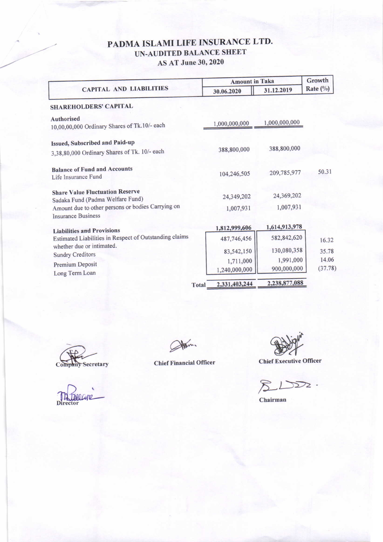## PADMA ISLAMI LIFE INSURANCE LTD. UN-AUDITED BALANCE SHEET AS AT June 30, 2020

|                                                                                                                                 | <b>Amount in Taka</b>        | Growth                   |                    |
|---------------------------------------------------------------------------------------------------------------------------------|------------------------------|--------------------------|--------------------|
| <b>CAPITAL AND LIABILITIES</b>                                                                                                  | 30.06.2020                   | 31.12.2019               | Rate $(^{0}/_{0})$ |
| <b>SHAREHOLDERS' CAPITAL</b>                                                                                                    |                              |                          |                    |
| Authorised<br>10,00,00,000 Ordinary Shares of Tk.10/- each                                                                      | 1,000,000,000                | 1,000,000,000            |                    |
| Issued, Subscribed and Paid-up<br>3,38,80,000 Ordinary Shares of Tk. 10/- each                                                  | 388,800,000                  | 388,800,000              |                    |
| <b>Balance of Fund and Accounts</b><br>Life Insurance Fund                                                                      | 104,246,505                  | 209,785,977              | 50.31              |
| <b>Share Value Fluctuation Reserve</b><br>Sadaka Fund (Padma Welfare Fund)<br>Amount due to other persons or bodies Carrying on | 24,349,202                   | 24,369,202<br>1,007,931  |                    |
| <b>Insurance Business</b>                                                                                                       | 1,007,931                    | 1,614,913,978            |                    |
| <b>Liabilities and Provisions</b><br>Estimated Liabilities in Respect of Outstanding claims                                     | 1,812,999,606<br>487,746,456 | 582,842,620              |                    |
| whether due or intimated.<br><b>Sundry Creditors</b>                                                                            | 83,542,150                   | 130,080,358              | 16.32<br>35.78     |
| Premium Deposit<br>Long Term Loan                                                                                               | 1,711,000<br>1,240,000,000   | 1,991,000<br>900,000,000 | 14.06<br>(37.78)   |
| <b>Total</b>                                                                                                                    | 2,331,403,244                | 2,238,877,088            |                    |

Company Secretary

Atom.

**Chief Financial Officer** 

**Chief Executive Officer** 

 $2D2.$ 

Chairman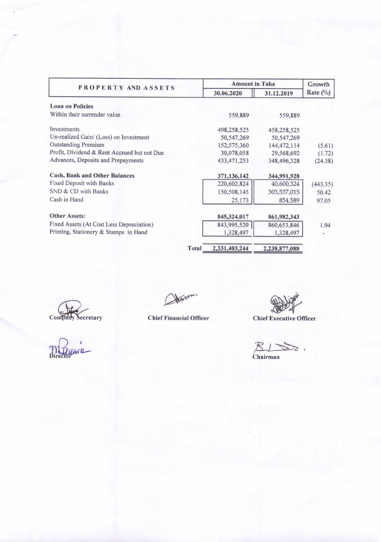| PROPERTY AND ASSETS                         |              | <b>Amount in Taka</b> |               |             |
|---------------------------------------------|--------------|-----------------------|---------------|-------------|
|                                             |              | 30.06.2020            | 31.12.2019    | Rate $(\%)$ |
| <b>Loan on Policies</b>                     |              |                       |               |             |
| Within their surrender value                |              | 559,889               | 559,889       |             |
| Investments                                 |              | 498,258,525           | 458,258,525   |             |
| Un-realized Gain/ (Loss) on Investment      |              | 50, 547, 269          | 50, 547, 269  |             |
| <b>Outstanding Premium</b>                  |              | 152,575,360           | 144, 472, 114 | (5.61)      |
| Profit, Dividend & Rent Accrued but not Due |              | 30,078,058            | 29,568,692    | (1.72)      |
| Advances, Deposits and Prepayments          |              | 433, 471, 253         | 348,496,328   | (24.38)     |
| <b>Cash, Bank and Other Balances</b>        |              | 371,136,142           | 344,991,928   |             |
| Fixed Deposit with Banks                    |              | 220,602,824           | 40,600,324    | (443.35)    |
| SND & CD with Banks                         |              | 150,508,145           | 303,537,015   | 50.42       |
| Cash in Hand                                |              | 25,173                | 854,589       | 97.05       |
| <b>Other Assets:</b>                        |              | 845,324,017           | 861,982,343   |             |
| Fixed Assets (At Cost Less Depreciation)    |              | 843,995,520           | 860,653,846   | 1.94        |
| Printing, Stationery & Stamps in Hand       |              | 1,328,497             | 1,328,497     |             |
|                                             | <b>Total</b> | 2,331,403,244         | 2,238,877,088 |             |

Company Secretary

Atorson

**Chief Executive Officer** 

 $\n *R*  $\rightarrow$  *S* .$ 

**Chief Financial Officer**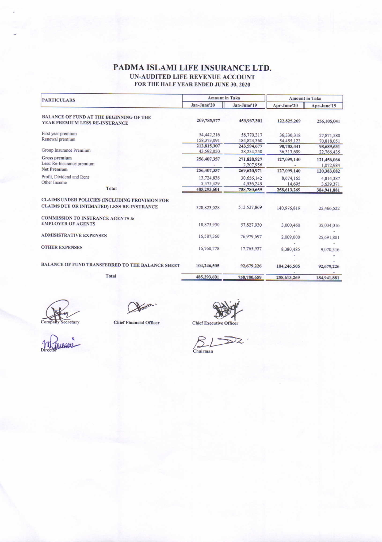## PADMA ISLAMI LIFE INSURANCE LTD. UN-AUDITED LIFE REVENUE ACCOUNT FOR THE HALF YEAR ENDED JUNE 30, 2020

| <b>PARTICULARS</b>                                                                           | <b>Amount in Taka</b>     |                           | <b>Amount in Taka</b>    |                          |
|----------------------------------------------------------------------------------------------|---------------------------|---------------------------|--------------------------|--------------------------|
|                                                                                              | Jan-June'20               | Jan-June'19               | Apr-June'20              | Apr-June'19              |
| <b>BALANCE OF FUND AT THE BEGINNING OF THE</b><br>YEAR PREMIUM LESS RE-INSURANCE             | 209,785,977               | 453,967,301               | 122,825,269              | 256,105,041              |
| First year premium<br>Renewal premium                                                        | 54,442,216<br>158,373,091 | 58,770,317<br>184,824,360 | 36,330,318<br>54,455,123 | 27,871,580<br>70,818,051 |
| Group Insurance Premium                                                                      | 212,815,307<br>43,592,050 | 243,594,677<br>28,234,250 | 90,785,441<br>36,313,699 | 98,689,631<br>22,766,435 |
| Gross premium<br>Less: Re-Insurance premium                                                  | 256,407,357               | 271,828,927<br>2,207,956  | 127,099,140              | 121,456,066<br>1,072,984 |
| <b>Net Premium</b>                                                                           | 256,407,357               | 269,620,971               | 127,099,140              | 120,383,082              |
| Profit, Dividend and Rent<br>Other Income                                                    | 13,724,838<br>5,375,429   | 30,656,142<br>4,536,245   | 8,674,165<br>14,695      | 4,814,387<br>3,639,371   |
| <b>Total</b>                                                                                 | 485,293,601               | 758,780,659               | 258,613,269              | 384,941,881              |
| CLAIMS UNDER POLICIES (INCLUDING PROVISION FOR<br>CLAIMS DUE OR INTIMATED) LESS RE-INSURANCE | 328,823,028               | 513,527,869               | 140,976,819              | 22,466,522               |
| <b>COMMISSION TO INSURANCE AGENTS &amp;</b><br><b>EMPLOYER OF AGENTS</b>                     | 18,875,930                | 57,827,930                | 3,000,460                | 35,034,016               |
| <b>ADMISISTRATIVE EXPENSES</b>                                                               | 16,587,360                | 76,979,697                | 2,009,000                | 25,691,801               |
| <b>OTHER EXPENSES</b>                                                                        | 16,760,778                | 17,765,937                | 8,380,485                | 9,070,316                |
| BALANCE OF FUND TRANSFERRED TO THE BALANCE SHEET                                             | 104,246,505               | 92,679,226                | 104,246,505              | 92,679,226               |
| <b>Total</b>                                                                                 | 485,293,601               | 758,780,659               | 258,613,269              | 184,941,881              |

Harson

**Chief Financial Officer** 

Chief Executive Officer

Company Secretary

 $\underbrace{\mathcal{B}}_{\text{Chairman}}$  $\overline{\mathcal{D}}$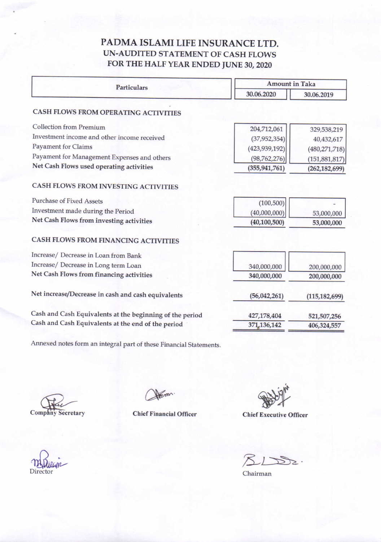## PADMA ISLAMI LIFE INSURANCE LTD. UN-AUDITED STATEMENT OF CASH FLOWS FOR THE HALF YEAR ENDED JUNE 30, <sup>2020</sup>

| Particulars                                              | <b>Amount in Taka</b> |                 |  |  |
|----------------------------------------------------------|-----------------------|-----------------|--|--|
|                                                          | 30.06.2020            | 30.06.2019      |  |  |
| CASH FLOWS FROM OPERATING ACTIVITIES                     |                       |                 |  |  |
| <b>Collection from Premium</b>                           | 204,712,061           | 329,538,219     |  |  |
| Investment income and other income received              | (37, 952, 354)        | 40,432,617      |  |  |
| <b>Payament for Claims</b>                               | (423, 939, 192)       | (480, 271, 718) |  |  |
| Payament for Management Expenses and others              | (98, 762, 276)        | (151, 881, 817) |  |  |
| Net Cash Flows used operating activities                 | (355, 941, 761)       | (262, 182, 699) |  |  |
| CASH FLOWS FROM INVESTING ACTIVITIES                     |                       |                 |  |  |
| <b>Purchase of Fixed Assets</b>                          | (100, 500)            |                 |  |  |
| Investment made during the Period                        | (40,000,000)          | 53,000,000      |  |  |
| Net Cash Flows from investing activities                 | (40, 100, 500)        | 53,000,000      |  |  |
| CASH FLOWS FROM FINANCING ACTIVITIES                     |                       |                 |  |  |
| Increase/ Decrease in Loan from Bank                     |                       |                 |  |  |
| Increase/ Decrease in Long term Loan                     | 340,000,000           | 200,000,000     |  |  |
| Net Cash Flows from financing activities                 | 340,000,000           | 200,000,000     |  |  |
| Net increase/Decrease in cash and cash equivalents       | (56,042,261)          | (115, 182, 699) |  |  |
| Cash and Cash Equivalents at the beginning of the period | 427,178,404           | 521,507,256     |  |  |
| Cash and Cash Equivalents at the end of the period       | 371,136,142           | 406,324,557     |  |  |
|                                                          |                       |                 |  |  |

Annexed notes form an integral part of these Financial Statements.

Company Secretary Chief Financial

**Chief Financial Officer** 

Chief Executive Officer

 $SLDB2$ .

Chairman

Director